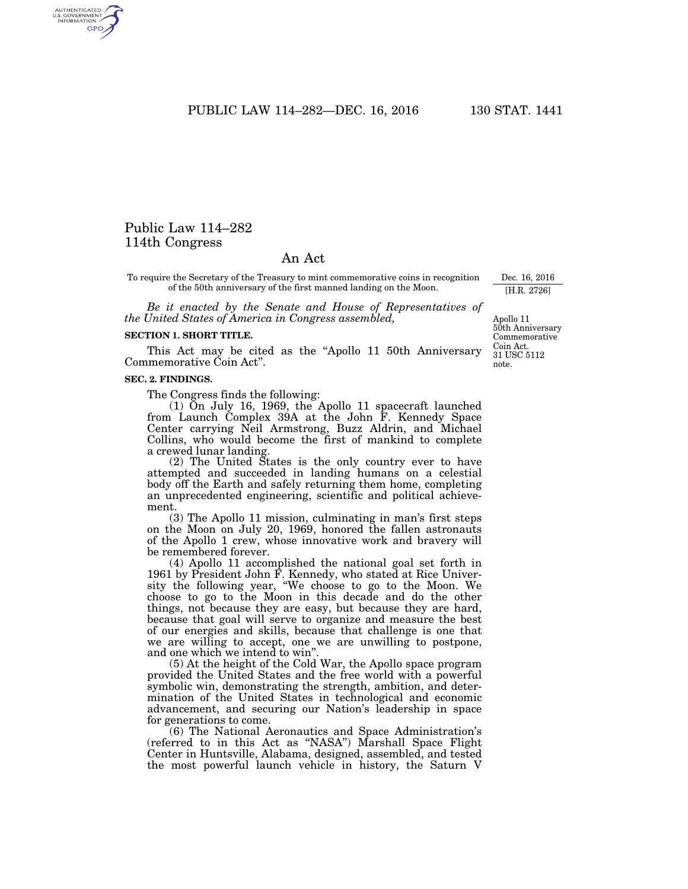PUBLIC LAW 114-282-DEC. 16, 2016 130 STAT. 1441

# Public Law 114–282 114th Congress

AUTHENTICATED<br>U.S. GOVERNMENT<br>INFORMATION **GPO** 

# An Act

To require the Secretary of the Treasury to mint commemorative coins in recognition of the 50th anniversary of the first manned landing on the Moon.

*Be it enacted by the Senate and House of Representatives of the United States of America in Congress assembled,* 

#### **SECTION 1. SHORT TITLE.**

This Act may be cited as the ''Apollo 11 50th Anniversary Commemorative Coin Act''.

#### **SEC. 2. FINDINGS.**

The Congress finds the following:

(1) On July 16, 1969, the Apollo 11 spacecraft launched from Launch Complex 39A at the John F. Kennedy Space Center carrying Neil Armstrong, Buzz Aldrin, and Michael Collins, who would become the first of mankind to complete a crewed lunar landing.

(2) The United States is the only country ever to have attempted and succeeded in landing humans on a celestial body off the Earth and safely returning them home, completing an unprecedented engineering, scientific and political achievement.

(3) The Apollo 11 mission, culminating in man's first steps on the Moon on July 20, 1969, honored the fallen astronauts of the Apollo 1 crew, whose innovative work and bravery will be remembered forever.

(4) Apollo 11 accomplished the national goal set forth in 1961 by President John F. Kennedy, who stated at Rice University the following year, ''We choose to go to the Moon. We choose to go to the Moon in this decade and do the other things, not because they are easy, but because they are hard, because that goal will serve to organize and measure the best of our energies and skills, because that challenge is one that we are willing to accept, one we are unwilling to postpone, and one which we intend to win''.

(5) At the height of the Cold War, the Apollo space program provided the United States and the free world with a powerful symbolic win, demonstrating the strength, ambition, and determination of the United States in technological and economic advancement, and securing our Nation's leadership in space for generations to come.

(6) The National Aeronautics and Space Administration's (referred to in this Act as ''NASA'') Marshall Space Flight Center in Huntsville, Alabama, designed, assembled, and tested the most powerful launch vehicle in history, the Saturn V

Apollo 11 50th Anniversary Commemorative Coin Act. 31 USC 5112 note.

Dec. 16, 2016 [H.R. 2726]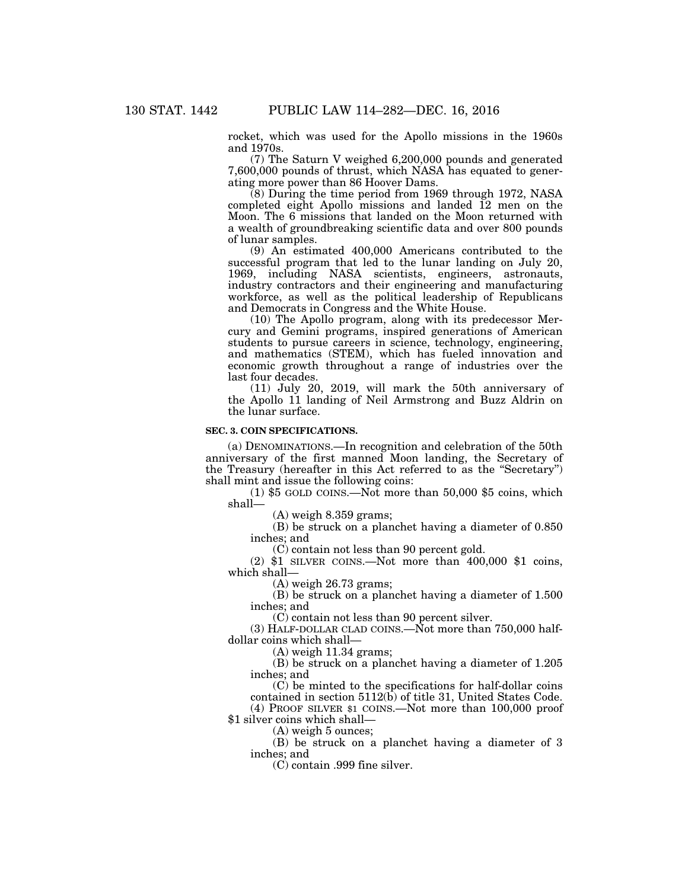rocket, which was used for the Apollo missions in the 1960s and 1970s.

(7) The Saturn V weighed 6,200,000 pounds and generated 7,600,000 pounds of thrust, which NASA has equated to generating more power than 86 Hoover Dams.

(8) During the time period from 1969 through 1972, NASA completed eight Apollo missions and landed  $12$  men on the Moon. The 6 missions that landed on the Moon returned with a wealth of groundbreaking scientific data and over 800 pounds of lunar samples.

(9) An estimated 400,000 Americans contributed to the successful program that led to the lunar landing on July 20, 1969, including NASA scientists, engineers, astronauts, industry contractors and their engineering and manufacturing workforce, as well as the political leadership of Republicans and Democrats in Congress and the White House.

(10) The Apollo program, along with its predecessor Mercury and Gemini programs, inspired generations of American students to pursue careers in science, technology, engineering, and mathematics (STEM), which has fueled innovation and economic growth throughout a range of industries over the last four decades.

(11) July 20, 2019, will mark the 50th anniversary of the Apollo 11 landing of Neil Armstrong and Buzz Aldrin on the lunar surface.

# **SEC. 3. COIN SPECIFICATIONS.**

(a) DENOMINATIONS.—In recognition and celebration of the 50th anniversary of the first manned Moon landing, the Secretary of the Treasury (hereafter in this Act referred to as the ''Secretary'') shall mint and issue the following coins:

(1) \$5 GOLD COINS.—Not more than 50,000 \$5 coins, which shall—

(A) weigh 8.359 grams;

(B) be struck on a planchet having a diameter of 0.850 inches; and

(C) contain not less than 90 percent gold.

(2) \$1 SILVER COINS.—Not more than 400,000 \$1 coins, which shall—

(A) weigh 26.73 grams;

(B) be struck on a planchet having a diameter of 1.500 inches; and

(C) contain not less than 90 percent silver.

(3) HALF-DOLLAR CLAD COINS.— $\text{Not more than } 750,000 \text{ half-}$ dollar coins which shall—

(A) weigh 11.34 grams;

(B) be struck on a planchet having a diameter of 1.205 inches; and

(C) be minted to the specifications for half-dollar coins contained in section 5112(b) of title 31, United States Code.

(4) PROOF SILVER \$1 COINS.—Not more than 100,000 proof \$1 silver coins which shall-

(A) weigh 5 ounces;

(B) be struck on a planchet having a diameter of 3 inches; and

(C) contain .999 fine silver.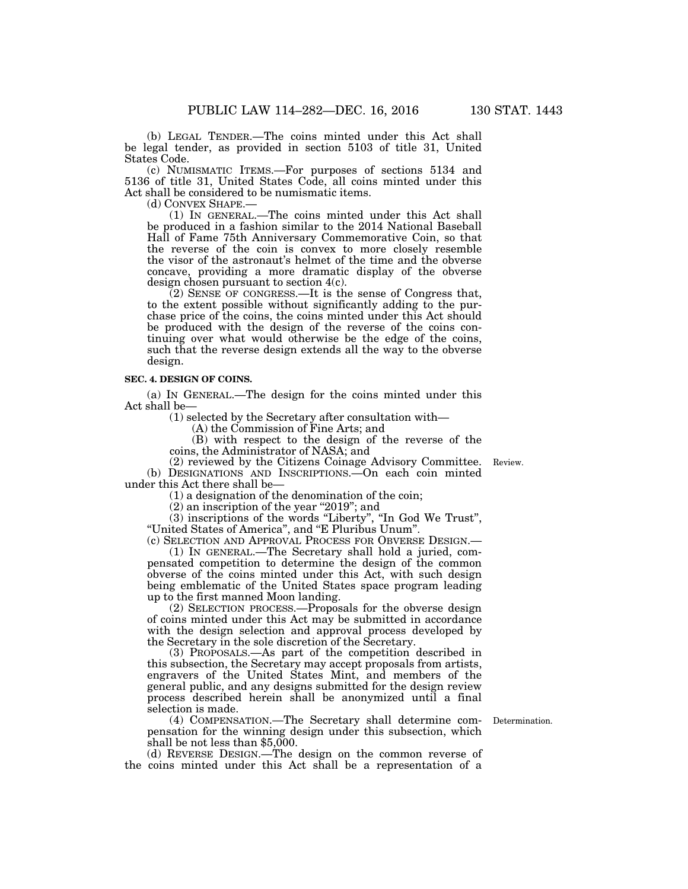(b) LEGAL TENDER.—The coins minted under this Act shall be legal tender, as provided in section 5103 of title 31, United States Code.

(c) NUMISMATIC ITEMS.—For purposes of sections 5134 and 5136 of title 31, United States Code, all coins minted under this Act shall be considered to be numismatic items.<br>(d) CONVEX SHAPE.—

(1) IN GENERAL.—The coins minted under this Act shall be produced in a fashion similar to the 2014 National Baseball Hall of Fame 75th Anniversary Commemorative Coin, so that the reverse of the coin is convex to more closely resemble the visor of the astronaut's helmet of the time and the obverse concave, providing a more dramatic display of the obverse design chosen pursuant to section 4(c).

 $(2)$  SENSE OF CONGRESS.—It is the sense of Congress that, to the extent possible without significantly adding to the purchase price of the coins, the coins minted under this Act should be produced with the design of the reverse of the coins continuing over what would otherwise be the edge of the coins, such that the reverse design extends all the way to the obverse design.

#### **SEC. 4. DESIGN OF COINS.**

(a) IN GENERAL.—The design for the coins minted under this Act shall be—

(1) selected by the Secretary after consultation with—

(A) the Commission of Fine Arts; and

(B) with respect to the design of the reverse of the coins, the Administrator of NASA; and

(2) reviewed by the Citizens Coinage Advisory Committee. (b) DESIGNATIONS AND INSCRIPTIONS.—On each coin minted under this Act there shall be—

(1) a designation of the denomination of the coin;

(2) an inscription of the year ''2019''; and

(3) inscriptions of the words ''Liberty'', ''In God We Trust'', ''United States of America'', and ''E Pluribus Unum''.

(c) SELECTION AND APPROVAL PROCESS FOR OBVERSE DESIGN.— (1) IN GENERAL.—The Secretary shall hold a juried, compensated competition to determine the design of the common obverse of the coins minted under this Act, with such design being emblematic of the United States space program leading up to the first manned Moon landing.

(2) SELECTION PROCESS.—Proposals for the obverse design of coins minted under this Act may be submitted in accordance with the design selection and approval process developed by the Secretary in the sole discretion of the Secretary.

(3) PROPOSALS.—As part of the competition described in this subsection, the Secretary may accept proposals from artists, engravers of the United States Mint, and members of the general public, and any designs submitted for the design review process described herein shall be anonymized until a final selection is made.

(4) COMPENSATION.—The Secretary shall determine compensation for the winning design under this subsection, which shall be not less than \$5,000.

(d) REVERSE DESIGN.—The design on the common reverse of the coins minted under this Act shall be a representation of a

Determination.

Review.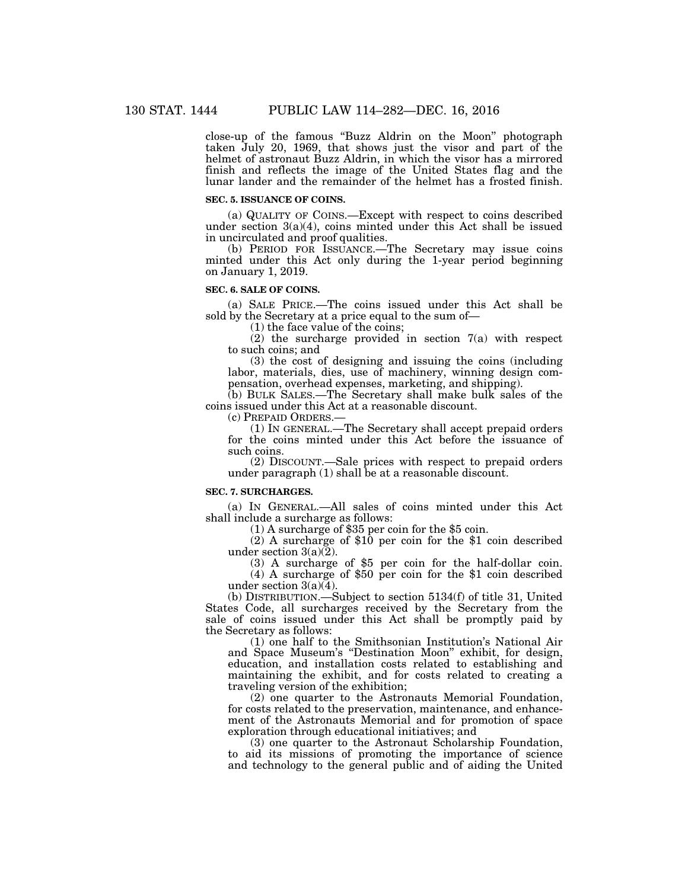close-up of the famous ''Buzz Aldrin on the Moon'' photograph taken July 20, 1969, that shows just the visor and part of the helmet of astronaut Buzz Aldrin, in which the visor has a mirrored finish and reflects the image of the United States flag and the lunar lander and the remainder of the helmet has a frosted finish.

# **SEC. 5. ISSUANCE OF COINS.**

(a) QUALITY OF COINS.—Except with respect to coins described under section 3(a)(4), coins minted under this Act shall be issued in uncirculated and proof qualities.

(b) PERIOD FOR ISSUANCE.—The Secretary may issue coins minted under this Act only during the 1-year period beginning on January 1, 2019.

# **SEC. 6. SALE OF COINS.**

(a) SALE PRICE.—The coins issued under this Act shall be sold by the Secretary at a price equal to the sum of—

(1) the face value of the coins;

(2) the surcharge provided in section 7(a) with respect to such coins; and

(3) the cost of designing and issuing the coins (including labor, materials, dies, use of machinery, winning design compensation, overhead expenses, marketing, and shipping).

(b) BULK SALES.—The Secretary shall make bulk sales of the coins issued under this Act at a reasonable discount.

(c) PREPAID ORDERS.—

(1) IN GENERAL.—The Secretary shall accept prepaid orders for the coins minted under this Act before the issuance of such coins.

(2) DISCOUNT.—Sale prices with respect to prepaid orders under paragraph (1) shall be at a reasonable discount.

#### **SEC. 7. SURCHARGES.**

(a) IN GENERAL.—All sales of coins minted under this Act

 $(1)$  A surcharge of \$35 per coin for the \$5 coin.

(2) A surcharge of \$10 per coin for the \$1 coin described under section  $3(a)(\overline{2})$ .

(3) A surcharge of \$5 per coin for the half-dollar coin. (4) A surcharge of \$50 per coin for the \$1 coin described under section  $3(a)(4)$ .

(b) DISTRIBUTION.—Subject to section 5134(f) of title 31, United States Code, all surcharges received by the Secretary from the sale of coins issued under this Act shall be promptly paid by the Secretary as follows:

(1) one half to the Smithsonian Institution's National Air and Space Museum's ''Destination Moon'' exhibit, for design, education, and installation costs related to establishing and maintaining the exhibit, and for costs related to creating a traveling version of the exhibition;

(2) one quarter to the Astronauts Memorial Foundation, for costs related to the preservation, maintenance, and enhancement of the Astronauts Memorial and for promotion of space exploration through educational initiatives; and

(3) one quarter to the Astronaut Scholarship Foundation, to aid its missions of promoting the importance of science and technology to the general public and of aiding the United